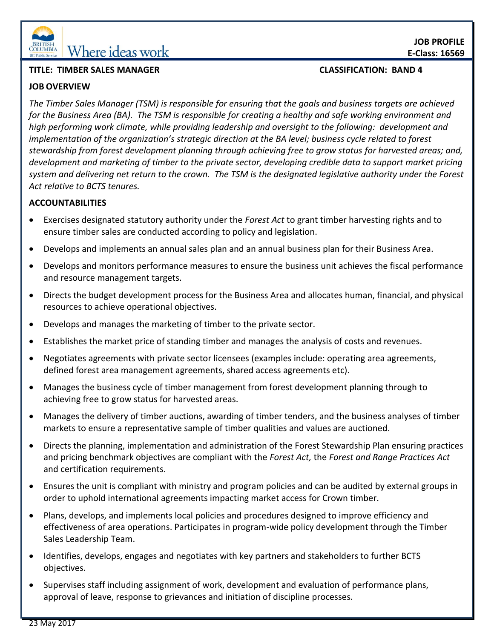

# **EQUINIBIA** Where ideas work

# **TITLE: TIMBER SALES MANAGER CLASSIFICATION: BAND 4**

# **JOB OVERVIEW**

*The Timber Sales Manager (TSM) is responsible for ensuring that the goals and business targets are achieved for the Business Area (BA). The TSM is responsible for creating a healthy and safe working environment and high performing work climate, while providing leadership and oversight to the following: development and implementation of the organization's strategic direction at the BA level; business cycle related to forest stewardship from forest development planning through achieving free to grow status for harvested areas; and, development and marketing of timber to the private sector, developing credible data to support market pricing system and delivering net return to the crown. The TSM is the designated legislative authority under the Forest Act relative to BCTS tenures.* 

### **ACCOUNTABILITIES**

- Exercises designated statutory authority under the *Forest Act* to grant timber harvesting rights and to ensure timber sales are conducted according to policy and legislation.
- Develops and implements an annual sales plan and an annual business plan for their Business Area.
- Develops and monitors performance measures to ensure the business unit achieves the fiscal performance and resource management targets.
- Directs the budget development process for the Business Area and allocates human, financial, and physical resources to achieve operational objectives.
- Develops and manages the marketing of timber to the private sector.
- Establishes the market price of standing timber and manages the analysis of costs and revenues.
- Negotiates agreements with private sector licensees (examples include: operating area agreements, defined forest area management agreements, shared access agreements etc).
- Manages the business cycle of timber management from forest development planning through to achieving free to grow status for harvested areas.
- Manages the delivery of timber auctions, awarding of timber tenders, and the business analyses of timber markets to ensure a representative sample of timber qualities and values are auctioned.
- Directs the planning, implementation and administration of the Forest Stewardship Plan ensuring practices and pricing benchmark objectives are compliant with the *Forest Act,* the *Forest and Range Practices Act* and certification requirements.
- Ensures the unit is compliant with ministry and program policies and can be audited by external groups in order to uphold international agreements impacting market access for Crown timber.
- Plans, develops, and implements local policies and procedures designed to improve efficiency and effectiveness of area operations. Participates in program-wide policy development through the Timber Sales Leadership Team.
- Identifies, develops, engages and negotiates with key partners and stakeholders to further BCTS objectives.
- Supervises staff including assignment of work, development and evaluation of performance plans, approval of leave, response to grievances and initiation of discipline processes.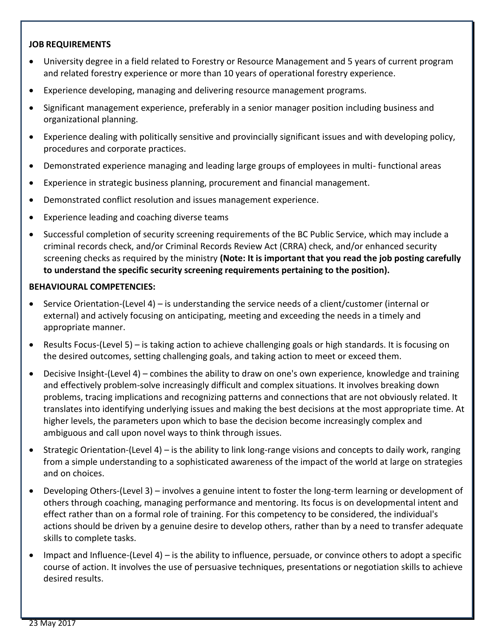# **JOB REQUIREMENTS**

- University degree in a field related to Forestry or Resource Management and 5 years of current program and related forestry experience or more than 10 years of operational forestry experience.
- Experience developing, managing and delivering resource management programs.
- Significant management experience, preferably in a senior manager position including business and organizational planning.
- Experience dealing with politically sensitive and provincially significant issues and with developing policy, procedures and corporate practices.
- Demonstrated experience managing and leading large groups of employees in multi- functional areas
- Experience in strategic business planning, procurement and financial management.
- Demonstrated conflict resolution and issues management experience.
- Experience leading and coaching diverse teams
- Successful completion of security screening requirements of the BC Public Service, which may include a criminal records check, and/or Criminal Records Review Act (CRRA) check, and/or enhanced security screening checks as required by the ministry **(Note: It is important that you read the job posting carefully to understand the specific security screening requirements pertaining to the position).**

#### **BEHAVIOURAL COMPETENCIES:**

- $\bullet$  Service Orientation-(Level 4) is understanding the service needs of a client/customer (internal or external) and actively focusing on anticipating, meeting and exceeding the needs in a timely and appropriate manner.
- Results Focus-(Level 5) is taking action to achieve challenging goals or high standards. It is focusing on the desired outcomes, setting challenging goals, and taking action to meet or exceed them.
- Decisive Insight-(Level 4) combines the ability to draw on one's own experience, knowledge and training and effectively problem-solve increasingly difficult and complex situations. It involves breaking down problems, tracing implications and recognizing patterns and connections that are not obviously related. It translates into identifying underlying issues and making the best decisions at the most appropriate time. At higher levels, the parameters upon which to base the decision become increasingly complex and ambiguous and call upon novel ways to think through issues.
- Strategic Orientation-(Level 4) is the ability to link long-range visions and concepts to daily work, ranging from a simple understanding to a sophisticated awareness of the impact of the world at large on strategies and on choices.
- Developing Others-(Level 3) involves a genuine intent to foster the long-term learning or development of others through coaching, managing performance and mentoring. Its focus is on developmental intent and effect rather than on a formal role of training. For this competency to be considered, the individual's actions should be driven by a genuine desire to develop others, rather than by a need to transfer adequate skills to complete tasks.
- $\bullet$  Impact and Influence-(Level 4) is the ability to influence, persuade, or convince others to adopt a specific course of action. It involves the use of persuasive techniques, presentations or negotiation skills to achieve desired results.